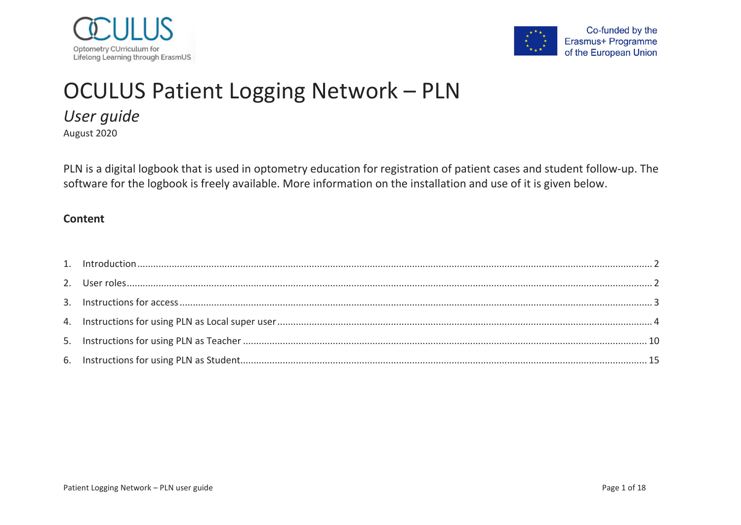



# OCULUS Patient Logging Network – PLN

*User guide*

August 2020

PLN is a digital logbook that is used in optometry education for registration of patient cases and student follow-up. The software for the logbook is freely available. More information on the installation and use of it is given below.

#### **Content**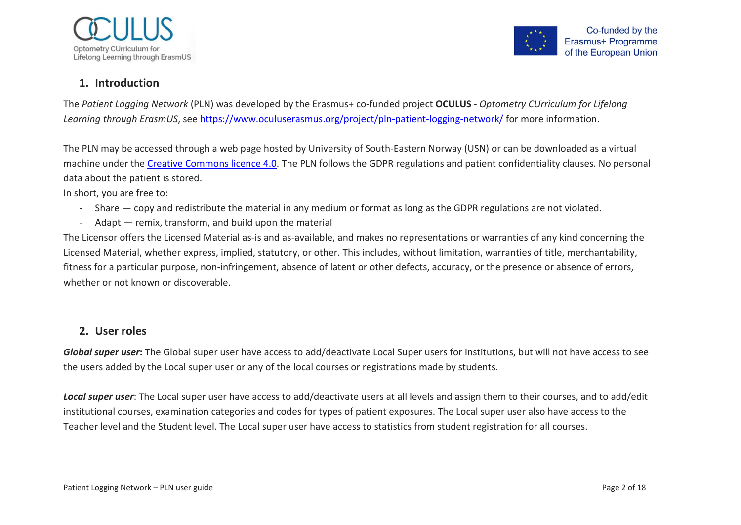



# <span id="page-1-0"></span>**1. Introduction**

The *Patient Logging Network* (PLN) was developed by the Erasmus+ co-funded project **OCULUS** - *Optometry CUrriculum for Lifelong Learning through ErasmUS*, see<https://www.oculuserasmus.org/project/pln-patient-logging-network/> for more information.

The PLN may be accessed through a web page hosted by University of South-Eastern Norway (USN) or can be downloaded as a virtual machine under the [Creative Commons licence](https://creativecommons.org/licenses/by-nc-sa/4.0) 4.0. The PLN follows the GDPR regulations and patient confidentiality clauses. No personal data about the patient is stored.

In short, you are free to:

- Share copy and redistribute the material in any medium or format as long as the GDPR regulations are not violated.
- Adapt remix, transform, and build upon the material

The Licensor offers the Licensed Material as-is and as-available, and makes no representations or warranties of any kind concerning the Licensed Material, whether express, implied, statutory, or other. This includes, without limitation, warranties of title, merchantability, fitness for a particular purpose, non-infringement, absence of latent or other defects, accuracy, or the presence or absence of errors, whether or not known or discoverable.

#### <span id="page-1-1"></span>**2. User roles**

*Global super user***:** The Global super user have access to add/deactivate Local Super users for Institutions, but will not have access to see the users added by the Local super user or any of the local courses or registrations made by students.

*Local super user*: The Local super user have access to add/deactivate users at all levels and assign them to their courses, and to add/edit institutional courses, examination categories and codes for types of patient exposures. The Local super user also have access to the Teacher level and the Student level. The Local super user have access to statistics from student registration for all courses.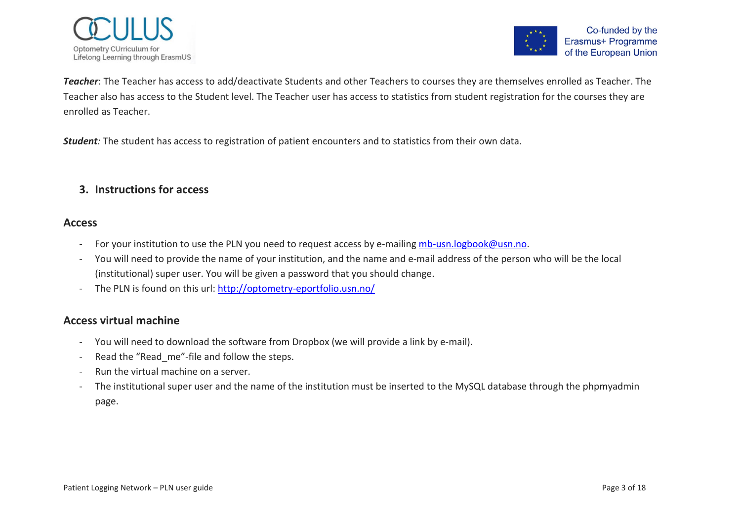



*Teacher*: The Teacher has access to add/deactivate Students and other Teachers to courses they are themselves enrolled as Teacher. The Teacher also has access to the Student level. The Teacher user has access to statistics from student registration for the courses they are enrolled as Teacher.

*Student:* The student has access to registration of patient encounters and to statistics from their own data.

# <span id="page-2-0"></span>**3. Instructions for access**

#### **Access**

- For your institution to use the PLN you need to request access by e-mailing [mb-usn.logbook@usn.no.](mailto:mb-usn.logbook@usn.no)
- You will need to provide the name of your institution, and the name and e-mail address of the person who will be the local (institutional) super user. You will be given a password that you should change.
- The PLN is found on this url:<http://optometry-eportfolio.usn.no/>

#### **Access virtual machine**

- You will need to download the software from Dropbox (we will provide a link by e-mail).
- Read the "Read me"-file and follow the steps.
- Run the virtual machine on a server.
- The institutional super user and the name of the institution must be inserted to the MySQL database through the phpmyadmin page.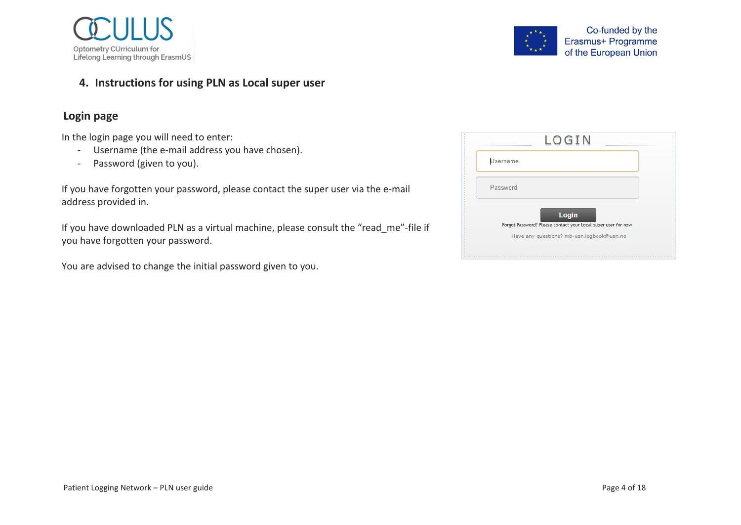



# <span id="page-3-0"></span>**4. Instructions for using PLN as Local super user**

# **Login page**

In the login page you will need to enter:

- Username (the e-mail address you have chosen).
- Password (given to you).

If you have forgotten your password, please contact the super user via the e-mail address provided in.

If you have downloaded PLN as a virtual machine, please consult the "read me"-file if you have forgotten your password.

You are advised to change the initial password given to you.

| Username |                                                               |
|----------|---------------------------------------------------------------|
| Password |                                                               |
| Login    | Forgot Password? Please contact your Local super user for now |
|          |                                                               |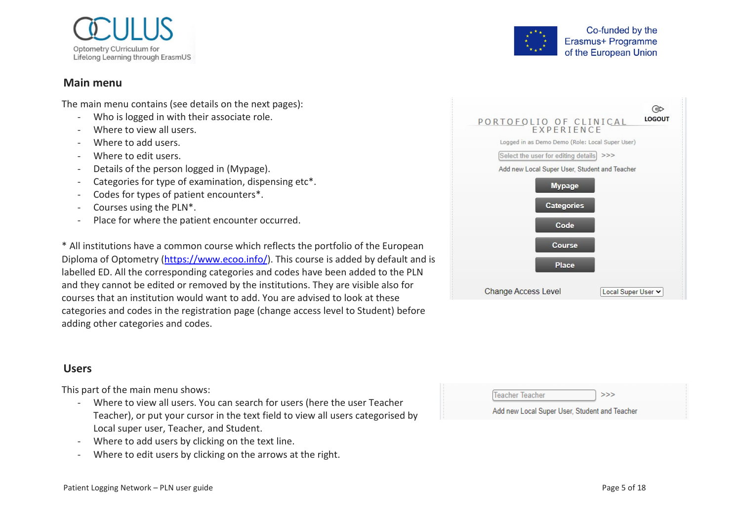

#### **Main menu**

The main menu contains (see details on the next pages):

- Who is logged in with their associate role.
- Where to view all users.
- Where to add users.
- Where to edit users.
- Details of the person logged in (Mypage).
- Categories for type of examination, dispensing etc\*.
- Codes for types of patient encounters\*.
- Courses using the PLN<sup>\*</sup>.
- Place for where the patient encounter occurred.

\* All institutions have a common course which reflects the portfolio of the European Diploma of Optometry [\(https://www.ecoo.info/\)](https://www.ecoo.info/). This course is added by default and is labelled ED. All the corresponding categories and codes have been added to the PLN and they cannot be edited or removed by the institutions. They are visible also for courses that an institution would want to add. You are advised to look at these categories and codes in the registration page (change access level to Student) before adding other categories and codes.

# **Users**

This part of the main menu shows:

- Where to view all users. You can search for users (here the user Teacher Teacher), or put your cursor in the text field to view all users categorised by Local super user, Teacher, and Student.
- Where to add users by clicking on the text line.
- Where to edit users by clicking on the arrows at the right.



Co-funded by the Erasmus+ Programme

of the European Union

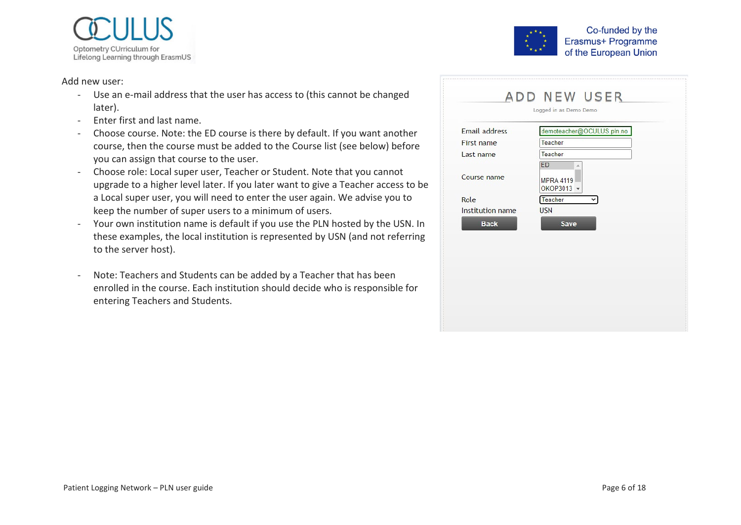

#### Add new user:

- Use an e-mail address that the user has access to (this cannot be changed later).
- Enter first and last name.
- Choose course. Note: the ED course is there by default. If you want another course, then the course must be added to the Course list (see below) before you can assign that course to the user.
- Choose role: Local super user, Teacher or Student. Note that you cannot upgrade to a higher level later. If you later want to give a Teacher access to be a Local super user, you will need to enter the user again. We advise you to keep the number of super users to a minimum of users.
- Your own institution name is default if you use the PLN hosted by the USN. In these examples, the local institution is represented by USN (and not referring to the server host).
- Note: Teachers and Students can be added by a Teacher that has been enrolled in the course. Each institution should decide who is responsible for entering Teachers and Students.



| <b>Email address</b> | demoteacher@OCULUS.pln.no                 |
|----------------------|-------------------------------------------|
| First name           | Teacher                                   |
| Last name            | Teacher                                   |
| Course name          | ED<br>Ä<br><b>MPRA 4119</b><br>OKOP3013 - |
| Role                 | Teacher                                   |
| Institution name     | <b>USN</b>                                |
| <b>Back</b>          | <b>Save</b>                               |
|                      |                                           |
|                      |                                           |
|                      |                                           |
|                      |                                           |
|                      |                                           |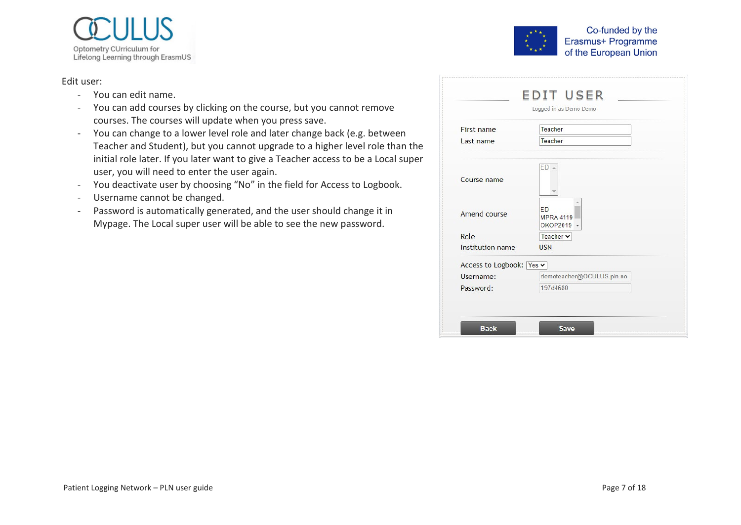

#### Edit user:

- You can edit name.
- You can add courses by clicking on the course, but you cannot remove courses. The courses will update when you press save.
- You can change to a lower level role and later change back (e.g. between Teacher and Student), but you cannot upgrade to a higher level role than the initial role later. If you later want to give a Teacher access to be a Local super user, you will need to enter the user again.
- You deactivate user by choosing "No" in the field for Access to Logbook.
- Username cannot be changed.
- Password is automatically generated, and the user should change it in Mypage. The Local super user will be able to see the new password.

|                          | Logged in as Demo Demo                      |
|--------------------------|---------------------------------------------|
| First name               | Teacher                                     |
| Last name                | Teacher                                     |
| Course name              | ED A                                        |
| Amend course             | <b>FD</b><br><b>MPRA 4119</b><br>OKOP2019 - |
| Role                     | Teacher v                                   |
| Institution name         | <b>USN</b>                                  |
| Access to Logbook: Yes v |                                             |
| Username:                | demoteacher@OCULUS.pln.no                   |
| Password:                | 197d4680                                    |

Co-funded by the Erasmus+ Programme

of the European Union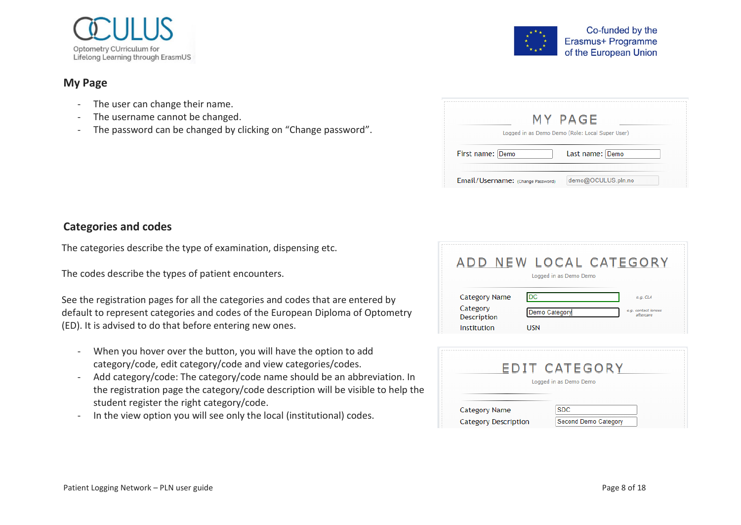

#### **My Page**

- The user can change their name.
- The username cannot be changed.
- The password can be changed by clicking on "Change password".

| Co-funded by the      |
|-----------------------|
| Erasmus+ Programme    |
| of the European Union |
|                       |

| Logged in as Demo Demo (Role: Local Super User) |                 |
|-------------------------------------------------|-----------------|
|                                                 |                 |
| First name: Demo                                | Last name: Demo |

# **Categories and codes**

The categories describe the type of examination, dispensing etc.

The codes describe the types of patient encounters.

See the registration pages for all the categories and codes that are entered by default to represent categories and codes of the European Diploma of Optometry (ED). It is advised to do that before entering new ones.

- When you hover over the button, you will have the option to add category/code, edit category/code and view categories/codes.
- Add category/code: The category/code name should be an abbreviation. In the registration page the category/code description will be visible to help the student register the right category/code.
- In the view option you will see only the local (institutional) codes.

| ADD                     | NEW LOCAL CATEGORY<br>Logged in as Demo Demo |                                  |
|-------------------------|----------------------------------------------|----------------------------------|
| Category Name           | DC                                           | e.g. CLA                         |
| Category<br>Description | Demo Category                                | e.g. contact lenses<br>aftercare |
| Institution             | USN                                          |                                  |

|                                              | EDIT CATEGORY<br>Logged in as Demo Demo   |  |
|----------------------------------------------|-------------------------------------------|--|
| Category Name<br><b>Category Description</b> | <b>SDC</b><br><b>Second Demo Category</b> |  |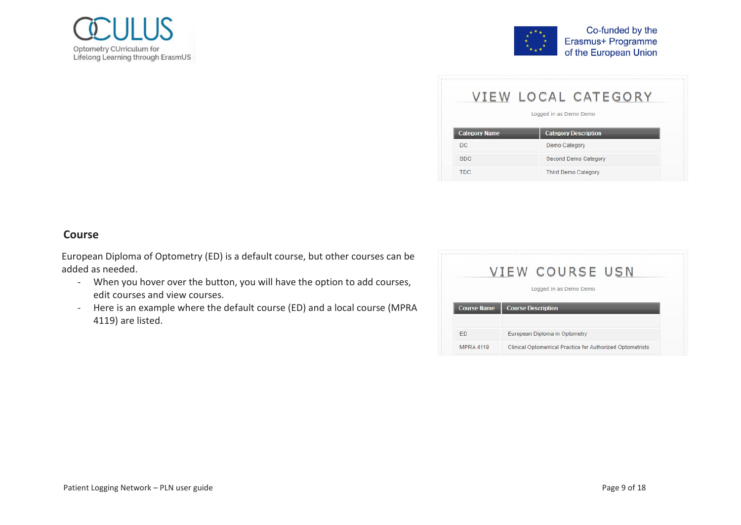



|                      | VIEW LOCAL CATEGORY<br>Logged in as Demo Demo |
|----------------------|-----------------------------------------------|
| <b>Category Name</b> | <b>Category Description</b>                   |
|                      |                                               |
|                      | Demo Category                                 |
| DC.<br><b>SDC</b>    | Second Demo Category                          |

#### **Course**

European Diploma of Optometry (ED) is a default course, but other courses can be added as needed.

- When you hover over the button, you will have the option to add courses, edit courses and view courses.
- Here is an example where the default course (ED) and a local course (MPRA 4119) are listed.

|                    | VIEW COURSE USN               |
|--------------------|-------------------------------|
|                    | Logged in as Demo Demo        |
| <b>Course Name</b> | <b>Course Description</b>     |
|                    |                               |
| <b>FD</b>          | European Diploma in Optometry |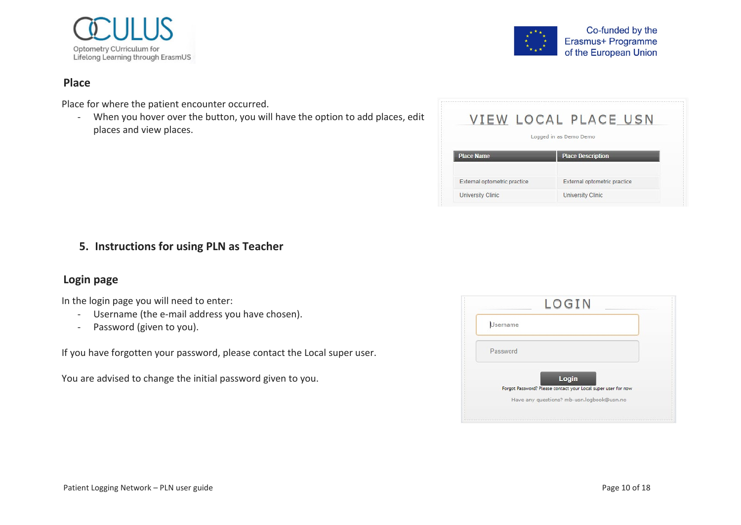

#### **Place**

Place for where the patient encounter occurred.

- When you hover over the button, you will have the option to add places, edit places and view places.



<span id="page-9-0"></span>**5. Instructions for using PLN as Teacher**

# **Login page**

In the login page you will need to enter:

- Username (the e-mail address you have chosen).
- Password (given to you).

If you have forgotten your password, please contact the Local super user.

You are advised to change the initial password given to you.

|                 | LOGIN                                                                  |
|-----------------|------------------------------------------------------------------------|
| <b>Username</b> |                                                                        |
| Password        |                                                                        |
|                 | Login<br>Forgot Password? Please contact your Local super user for now |
|                 |                                                                        |

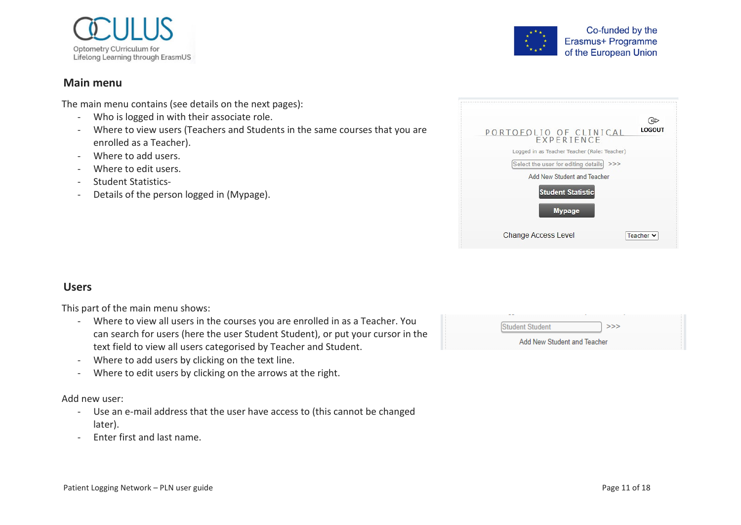

#### **Main menu**

The main menu contains (see details on the next pages):

- Who is logged in with their associate role.
- Where to view users (Teachers and Students in the same courses that you are enrolled as a Teacher).
- Where to add users.
- Where to edit users.
- Student Statistics-
- Details of the person logged in (Mypage).



| PORTOFOLIO OF CLINICAL<br>EXPERIENCE         | LOGOUT    |
|----------------------------------------------|-----------|
| Logged in as Teacher Teacher (Role: Teacher) |           |
| Select the user for editing details<br>>>>   |           |
| Add New Student and Teacher                  |           |
| <b>Student Statistic</b>                     |           |
| <b>Mypage</b>                                |           |
| <b>Change Access Level</b>                   | Teacher Y |

#### **Users**

This part of the main menu shows:

- Where to view all users in the courses you are enrolled in as a Teacher. You can search for users (here the user Student Student), or put your cursor in the text field to view all users categorised by Teacher and Student.
- Where to add users by clicking on the text line.
- Where to edit users by clicking on the arrows at the right.

#### Add new user:

- Use an e-mail address that the user have access to (this cannot be changed later).
- Enter first and last name.

| Student Student             | >>> |  |
|-----------------------------|-----|--|
| Add New Student and Teacher |     |  |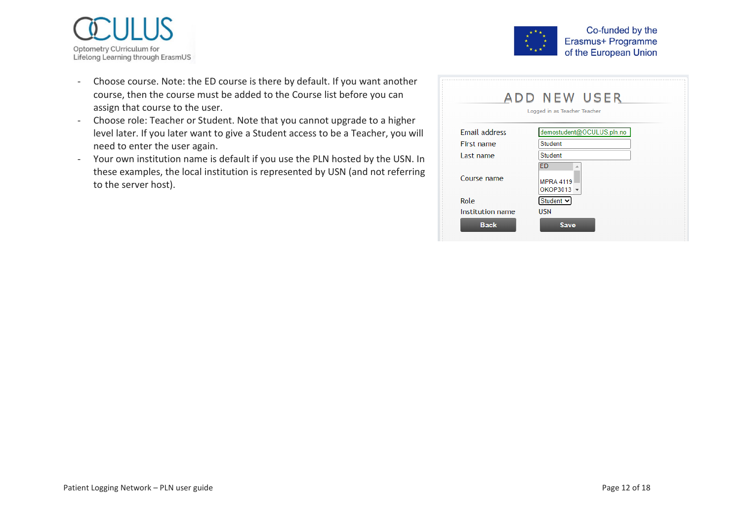



- Choose course. Note: the ED course is there by default. If you want another course, then the course must be added to the Course list before you can assign that course to the user.
- Choose role: Teacher or Student. Note that you cannot upgrade to a higher level later. If you later want to give a Student access to be a Teacher, you will need to enter the user again.
- Your own institution name is default if you use the PLN hosted by the USN. In these examples, the local institution is represented by USN (and not referring to the server host).

|                      | ADD NEW USER<br>Logged in as Teacher Teacher     |
|----------------------|--------------------------------------------------|
|                      |                                                  |
| <b>Email address</b> | demostudent@OCULUS.pln.no                        |
| First name           | <b>Student</b>                                   |
| Last name            | <b>Student</b>                                   |
| Course name          | <b>ED</b><br>۸<br><b>MPRA 4119</b><br>OKOP3013 - |
| Role                 | Student v                                        |
| Institution name     | <b>USN</b>                                       |
| <b>Back</b>          | <b>Save</b>                                      |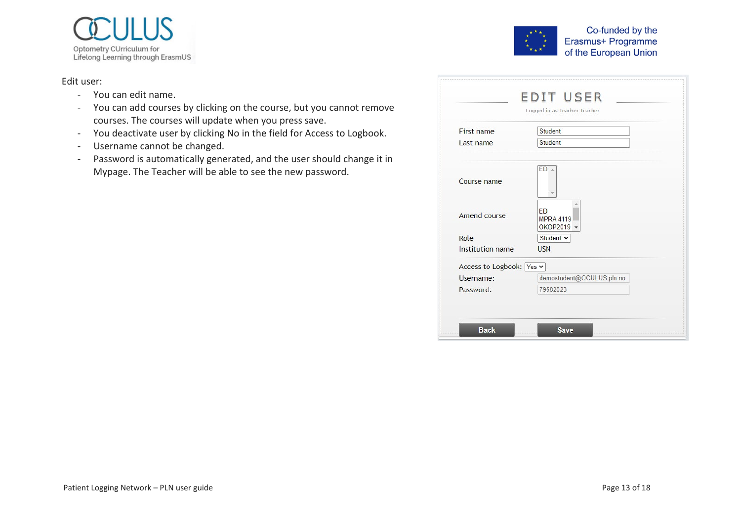

#### Edit user:

- You can edit name.
- You can add courses by clicking on the course, but you cannot remove courses. The courses will update when you press save.
- You deactivate user by clicking No in the field for Access to Logbook.
- Username cannot be changed.
- Password is automatically generated, and the user should change it in Mypage. The Teacher will be able to see the new password.

|            |                | Co-funded by the<br>Erasmus+ Programme<br>of the European Union |
|------------|----------------|-----------------------------------------------------------------|
|            |                | <b>EDIT USER</b><br>Logged in as Teacher Teacher                |
| First name | Student        |                                                                 |
| Last name  | <b>Student</b> |                                                                 |

| Course name              |                                             |
|--------------------------|---------------------------------------------|
|                          |                                             |
| Amend course             | <b>ED</b><br><b>MPRA 4119</b><br>OKOP2019 - |
| Role                     | Student v                                   |
| Institution name         | <b>USN</b>                                  |
| Access to Logbook: Yes v |                                             |
| Username:                | demostudent@OCULUS.pln.no                   |
| Password:                | 79582023                                    |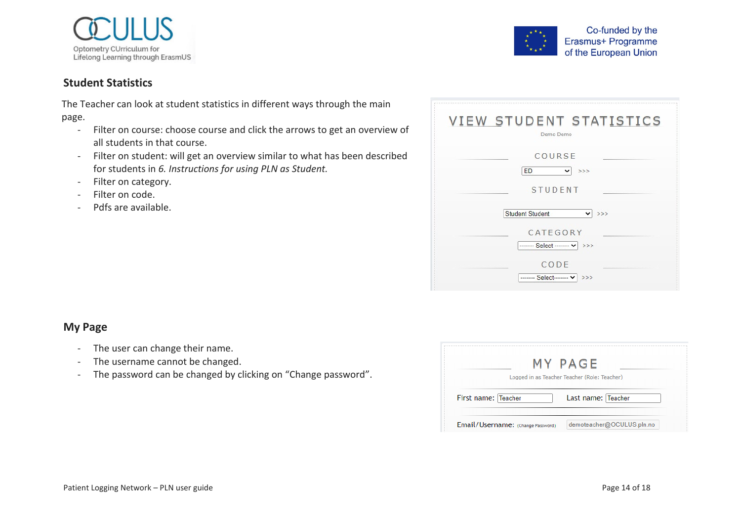



# **Student Statistics**

The Teacher can look at student statistics in different ways through the main page.

- Filter on course: choose course and click the arrows to get an overview of all students in that course.
- Filter on student: will get an overview similar to what has been described for students in *[6. Instructions for using PLN as Student.](#page-14-0)*
- Filter on category.
- Filter on code.
- Pdfs are available.

| <b>VIEW STUDENT STATISTICS</b><br>Demo Demo                                              |
|------------------------------------------------------------------------------------------|
| COURSE<br><b>ED</b><br>>>><br>$\checkmark$<br><b>STUDENT</b>                             |
| <b>Student Student</b><br>>><br>$\checkmark$<br>CATEGORY<br>------- Select ------- v >>> |
| CODE<br>------- Select------- v   >>>                                                    |

#### **My Page**

- The user can change their name.
- The username cannot be changed.
- The password can be changed by clicking on "Change password".

| Logged in as Teacher Teacher (Role: Teacher) | MY PAGE |
|----------------------------------------------|---------|
|                                              |         |
| Last name: Teacher<br>First name: Teacher    |         |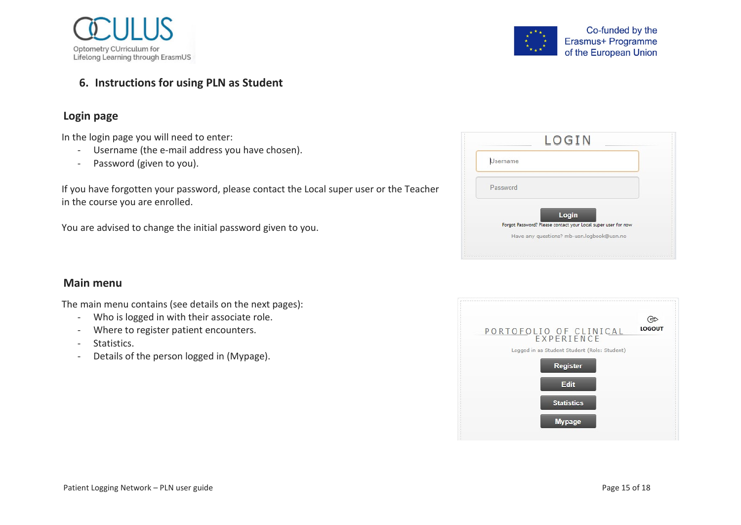



#### <span id="page-14-0"></span>**6. Instructions for using PLN as Student**

# **Login page**

In the login page you will need to enter:

- Username (the e-mail address you have chosen).
- Password (given to you).

If you have forgotten your password, please contact the Local super user or the Teacher in the course you are enrolled.

You are advised to change the initial password given to you.

| Forgot Password? Please contact your Local super user for now |
|---------------------------------------------------------------|
| Have any questions? mb-usn.logbook@usn.no                     |
|                                                               |

# **Main menu**

The main menu contains (see details on the next pages):

- Who is logged in with their associate role.
- Where to register patient encounters.
- Statistics.
- Details of the person logged in (Mypage).

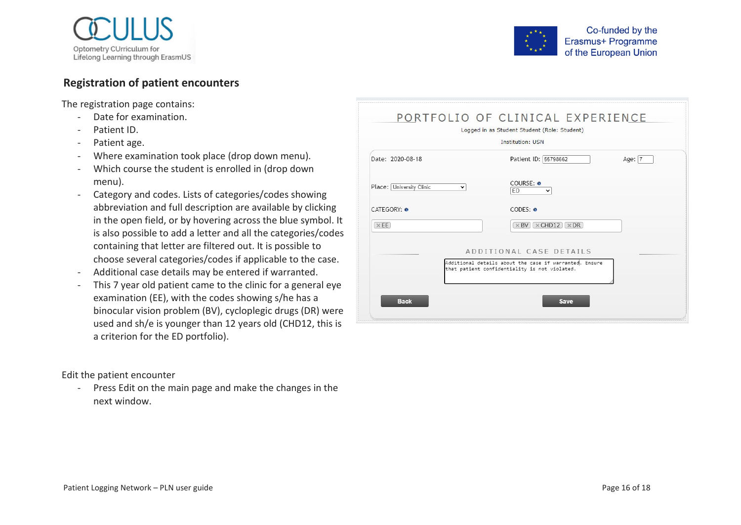

#### **Registration of patient encounters**

The registration page contains:

- Date for examination.
- Patient ID.
- Patient age.
- Where examination took place (drop down menu).
- Which course the student is enrolled in (drop down menu).
- Category and codes. Lists of categories/codes showing abbreviation and full description are available by clicking in the open field, or by hovering across the blue symbol. It is also possible to add a letter and all the categories/codes containing that letter are filtered out. It is possible to choose several categories/codes if applicable to the case.
- Additional case details may be entered if warranted.
- This 7 year old patient came to the clinic for a general eye examination (EE), with the codes showing s/he has a binocular vision problem (BV), cycloplegic drugs (DR) were used and sh/e is younger than 12 years old (CHD12, this is a criterion for the ED portfolio).

Edit the patient encounter

- Press Edit on the main page and make the changes in the next window.

|                                          | $*$ *<br>of the European Union                                                                              |  |
|------------------------------------------|-------------------------------------------------------------------------------------------------------------|--|
|                                          |                                                                                                             |  |
|                                          | PORTFOLIO OF CLINICAL EXPERIENCE<br>Logged in as Student Student (Role: Student)<br><b>Institution: USN</b> |  |
| Date: 2020-08-18                         | Patient ID: 55798662<br>Age: $ 7$                                                                           |  |
| Place: University Clinic<br>$\checkmark$ | COURSE: 0<br>ED<br>$\check{ }$                                                                              |  |
| <b>CATEGORY: O</b>                       | CODES: 0                                                                                                    |  |
| $\times$ EE                              | $\times$ CHD12 $\times$ DR<br>$\times$ BV                                                                   |  |

|             | ADDITIONAL CASE DETAILS                                                                                 |  |
|-------------|---------------------------------------------------------------------------------------------------------|--|
|             | Additional details about the case if warranted. Ensure<br>that patient confidentiality is not violated. |  |
| <b>Back</b> | <b>Save</b>                                                                                             |  |

Co-funded by the Erasmus+ Programme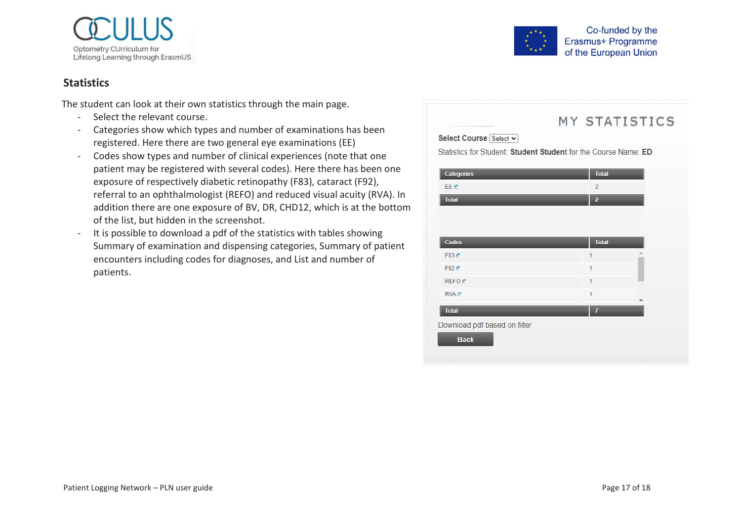

#### **Statistics**

The student can look at their own statistics through the main page.

- Select the relevant course.
- Categories show which types and number of examinations has been registered. Here there are two general eye examinations (EE)
- Codes show types and number of clinical experiences (note that one patient may be registered with several codes). Here there has been one exposure of respectively diabetic retinopathy (F83), cataract (F92), referral to an ophthalmologist (REFO) and reduced visual acuity (RVA). In addition there are one exposure of BV, DR, CHD12, which is at the bottom of the list, but hidden in the screenshot.
- It is possible to download a pdf of the statistics with tables showing Summary of examination and dispensing categories, Summary of patient encounters including codes for diagnoses, and List and number of patients.



# MY STATISTICS

Select Course Select v

Statistics for Student: Student Student for the Course Name: ED

| Categories        | <b>Total</b>   |  |
|-------------------|----------------|--|
| EE C              | $\overline{2}$ |  |
| <b>Total</b>      | $\overline{2}$ |  |
|                   |                |  |
|                   |                |  |
| Codes             | <b>Total</b>   |  |
| F83 c             | 1              |  |
| F92C              | $\overline{1}$ |  |
| REFO <sub>c</sub> | 1              |  |
| <b>RVA</b> c      | 1              |  |
| <b>Total</b>      | $\overline{I}$ |  |
|                   |                |  |